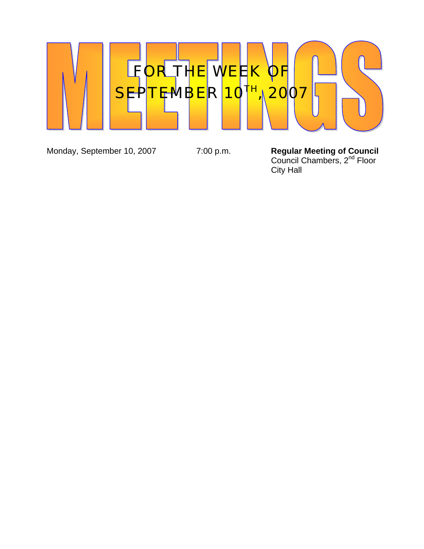

Monday, September 10, 2007 7:00 p.m.

Regular Meeting of Council<br>Council Chambers, 2<sup>nd</sup> Floor City Hall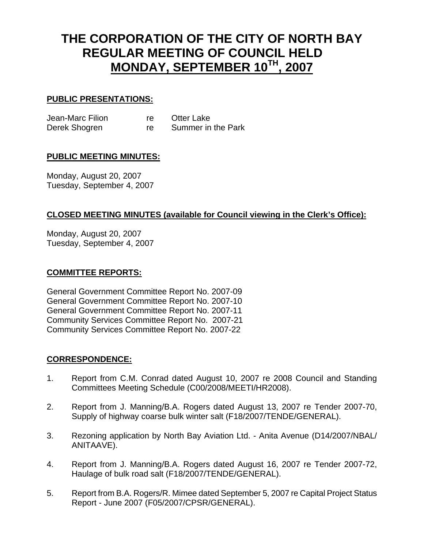# **THE CORPORATION OF THE CITY OF NORTH BAY REGULAR MEETING OF COUNCIL HELD MONDAY, SEPTEMBER 10TH, 2007**

## **PUBLIC PRESENTATIONS:**

Jean-Marc Filion re Otter Lake Derek Shogren re Summer in the Park

## **PUBLIC MEETING MINUTES:**

Monday, August 20, 2007 Tuesday, September 4, 2007

## **CLOSED MEETING MINUTES (available for Council viewing in the Clerk's Office):**

Monday, August 20, 2007 Tuesday, September 4, 2007

### **COMMITTEE REPORTS:**

General Government Committee Report No. 2007-09 General Government Committee Report No. 2007-10 General Government Committee Report No. 2007-11 Community Services Committee Report No. 2007-21 Community Services Committee Report No. 2007-22

## **CORRESPONDENCE:**

- 1. Report from C.M. Conrad dated August 10, 2007 re 2008 Council and Standing Committees Meeting Schedule (C00/2008/MEETI/HR2008).
- 2. Report from J. Manning/B.A. Rogers dated August 13, 2007 re Tender 2007-70, Supply of highway coarse bulk winter salt (F18/2007/TENDE/GENERAL).
- 3. Rezoning application by North Bay Aviation Ltd. Anita Avenue (D14/2007/NBAL/ ANITAAVE).
- 4. Report from J. Manning/B.A. Rogers dated August 16, 2007 re Tender 2007-72, Haulage of bulk road salt (F18/2007/TENDE/GENERAL).
- 5. Report from B.A. Rogers/R. Mimee dated September 5, 2007 re Capital Project Status Report - June 2007 (F05/2007/CPSR/GENERAL).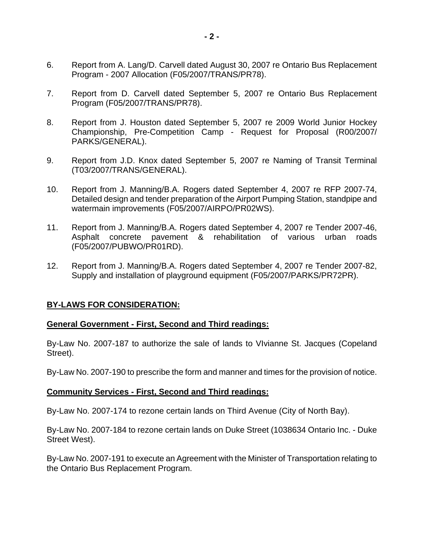- 6. Report from A. Lang/D. Carvell dated August 30, 2007 re Ontario Bus Replacement Program - 2007 Allocation (F05/2007/TRANS/PR78).
- 7. Report from D. Carvell dated September 5, 2007 re Ontario Bus Replacement Program (F05/2007/TRANS/PR78).
- 8. Report from J. Houston dated September 5, 2007 re 2009 World Junior Hockey Championship, Pre-Competition Camp - Request for Proposal (R00/2007/ PARKS/GENERAL).
- 9. Report from J.D. Knox dated September 5, 2007 re Naming of Transit Terminal (T03/2007/TRANS/GENERAL).
- 10. Report from J. Manning/B.A. Rogers dated September 4, 2007 re RFP 2007-74, Detailed design and tender preparation of the Airport Pumping Station, standpipe and watermain improvements (F05/2007/AIRPO/PR02WS).
- 11. Report from J. Manning/B.A. Rogers dated September 4, 2007 re Tender 2007-46, Asphalt concrete pavement & rehabilitation of various urban roads (F05/2007/PUBWO/PR01RD).
- 12. Report from J. Manning/B.A. Rogers dated September 4, 2007 re Tender 2007-82, Supply and installation of playground equipment (F05/2007/PARKS/PR72PR).

## **BY-LAWS FOR CONSIDERATION:**

#### **General Government - First, Second and Third readings:**

By-Law No. 2007-187 to authorize the sale of lands to VIvianne St. Jacques (Copeland Street).

By-Law No. 2007-190 to prescribe the form and manner and times for the provision of notice.

#### **Community Services - First, Second and Third readings:**

By-Law No. 2007-174 to rezone certain lands on Third Avenue (City of North Bay).

By-Law No. 2007-184 to rezone certain lands on Duke Street (1038634 Ontario Inc. - Duke Street West).

By-Law No. 2007-191 to execute an Agreement with the Minister of Transportation relating to the Ontario Bus Replacement Program.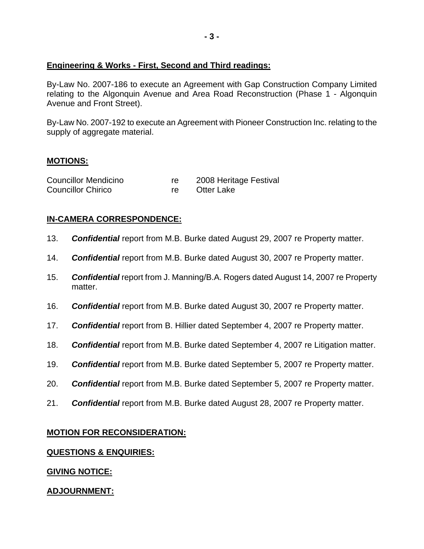## **Engineering & Works - First, Second and Third readings:**

By-Law No. 2007-186 to execute an Agreement with Gap Construction Company Limited relating to the Algonquin Avenue and Area Road Reconstruction (Phase 1 - Algonquin Avenue and Front Street).

By-Law No. 2007-192 to execute an Agreement with Pioneer Construction Inc. relating to the supply of aggregate material.

## **MOTIONS:**

| <b>Councillor Mendicino</b> | 2008 Heritage Festival |
|-----------------------------|------------------------|
| <b>Councillor Chirico</b>   | Otter Lake             |

# **IN-CAMERA CORRESPONDENCE:**

- 13. *Confidential* report from M.B. Burke dated August 29, 2007 re Property matter.
- 14. *Confidential* report from M.B. Burke dated August 30, 2007 re Property matter.
- 15. *Confidential* report from J. Manning/B.A. Rogers dated August 14, 2007 re Property matter.
- 16. *Confidential* report from M.B. Burke dated August 30, 2007 re Property matter.
- 17. *Confidential* report from B. Hillier dated September 4, 2007 re Property matter.
- 18. *Confidential* report from M.B. Burke dated September 4, 2007 re Litigation matter.
- 19. *Confidential* report from M.B. Burke dated September 5, 2007 re Property matter.
- 20. *Confidential* report from M.B. Burke dated September 5, 2007 re Property matter.
- 21. *Confidential* report from M.B. Burke dated August 28, 2007 re Property matter.

# **MOTION FOR RECONSIDERATION:**

## **QUESTIONS & ENQUIRIES:**

# **GIVING NOTICE:**

# **ADJOURNMENT:**